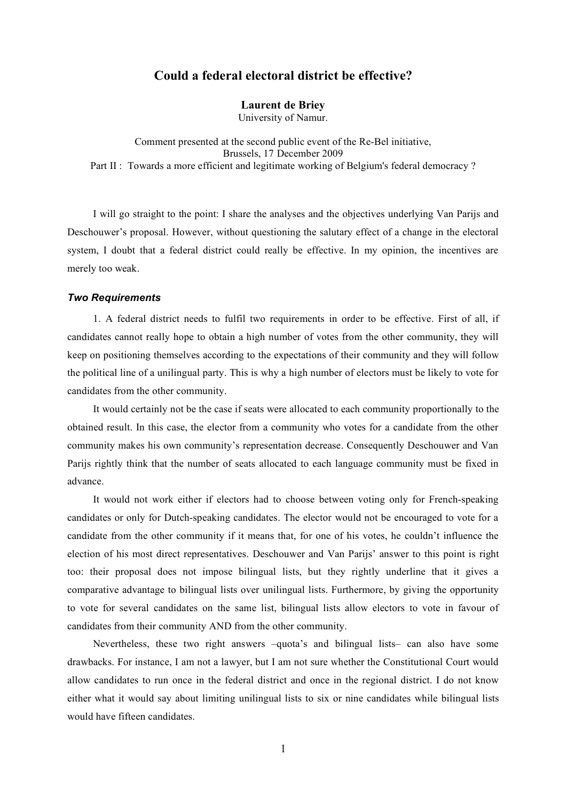# **Could a federal electoral district be effective?**

## **Laurent de Briey**

University of Namur.

Comment presented at the second public event of the Re-Bel initiative, Brussels, 17 December 2009 Part II : Towards a more efficient and legitimate working of Belgium's federal democracy?

I will go straight to the point: I share the analyses and the objectives underlying Van Parijs and Deschouwer's proposal. However, without questioning the salutary effect of a change in the electoral system, I doubt that a federal district could really be effective. In my opinion, the incentives are merely too weak.

## *Two Requirements*

1. A federal district needs to fulfil two requirements in order to be effective. First of all, if candidates cannot really hope to obtain a high number of votes from the other community, they will keep on positioning themselves according to the expectations of their community and they will follow the political line of a unilingual party. This is why a high number of electors must be likely to vote for candidates from the other community.

It would certainly not be the case if seats were allocated to each community proportionally to the obtained result. In this case, the elector from a community who votes for a candidate from the other community makes his own community's representation decrease. Consequently Deschouwer and Van Parijs rightly think that the number of seats allocated to each language community must be fixed in advance.

It would not work either if electors had to choose between voting only for French-speaking candidates or only for Dutch-speaking candidates. The elector would not be encouraged to vote for a candidate from the other community if it means that, for one of his votes, he couldn't influence the election of his most direct representatives. Deschouwer and Van Parijs' answer to this point is right too: their proposal does not impose bilingual lists, but they rightly underline that it gives a comparative advantage to bilingual lists over unilingual lists. Furthermore, by giving the opportunity to vote for several candidates on the same list, bilingual lists allow electors to vote in favour of candidates from their community AND from the other community.

Nevertheless, these two right answers –quota's and bilingual lists– can also have some drawbacks. For instance, I am not a lawyer, but I am not sure whether the Constitutional Court would allow candidates to run once in the federal district and once in the regional district. I do not know either what it would say about limiting unilingual lists to six or nine candidates while bilingual lists would have fifteen candidates.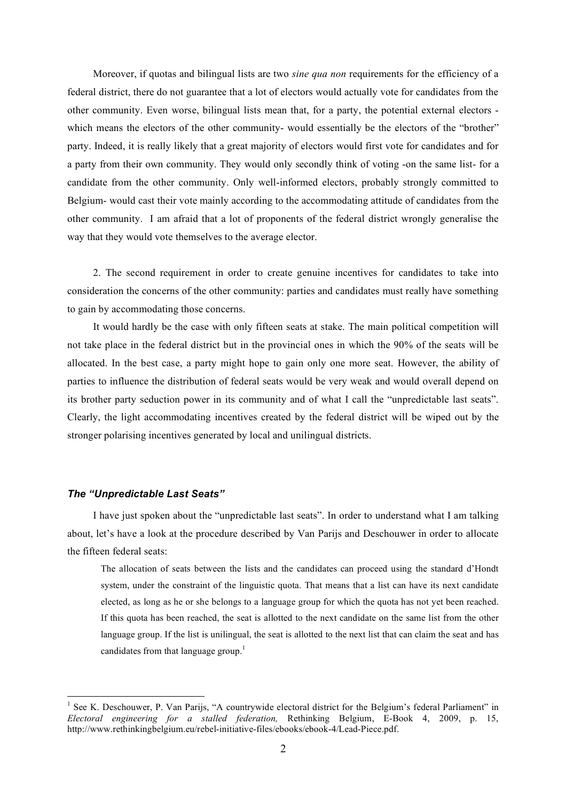Moreover, if quotas and bilingual lists are two *sine qua non* requirements for the efficiency of a federal district, there do not guarantee that a lot of electors would actually vote for candidates from the other community. Even worse, bilingual lists mean that, for a party, the potential external electors which means the electors of the other community- would essentially be the electors of the "brother" party. Indeed, it is really likely that a great majority of electors would first vote for candidates and for a party from their own community. They would only secondly think of voting -on the same list- for a candidate from the other community. Only well-informed electors, probably strongly committed to Belgium- would cast their vote mainly according to the accommodating attitude of candidates from the other community. I am afraid that a lot of proponents of the federal district wrongly generalise the way that they would vote themselves to the average elector.

2. The second requirement in order to create genuine incentives for candidates to take into consideration the concerns of the other community: parties and candidates must really have something to gain by accommodating those concerns.

It would hardly be the case with only fifteen seats at stake. The main political competition will not take place in the federal district but in the provincial ones in which the 90% of the seats will be allocated. In the best case, a party might hope to gain only one more seat. However, the ability of parties to influence the distribution of federal seats would be very weak and would overall depend on its brother party seduction power in its community and of what I call the "unpredictable last seats". Clearly, the light accommodating incentives created by the federal district will be wiped out by the stronger polarising incentives generated by local and unilingual districts.

## *The "Unpredictable Last Seats"*

I have just spoken about the "unpredictable last seats". In order to understand what I am talking about, let's have a look at the procedure described by Van Parijs and Deschouwer in order to allocate the fifteen federal seats:

The allocation of seats between the lists and the candidates can proceed using the standard d'Hondt system, under the constraint of the linguistic quota. That means that a list can have its next candidate elected, as long as he or she belongs to a language group for which the quota has not yet been reached. If this quota has been reached, the seat is allotted to the next candidate on the same list from the other language group. If the list is unilingual, the seat is allotted to the next list that can claim the seat and has candidates from that language group.<sup>1</sup>

 $\frac{1}{1}$ <sup>1</sup> See K. Deschouwer, P. Van Parijs, "A countrywide electoral district for the Belgium's federal Parliament" in *Electoral engineering for a stalled federation,* Rethinking Belgium, E-Book 4, 2009, p. 15, http://www.rethinkingbelgium.eu/rebel-initiative-files/ebooks/ebook-4/Lead-Piece.pdf.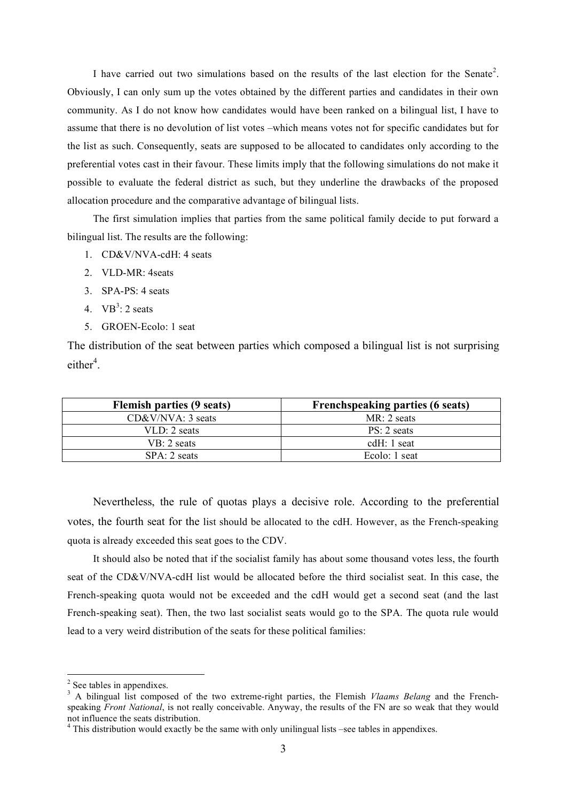I have carried out two simulations based on the results of the last election for the Senate<sup>2</sup>. Obviously, I can only sum up the votes obtained by the different parties and candidates in their own community. As I do not know how candidates would have been ranked on a bilingual list, I have to assume that there is no devolution of list votes –which means votes not for specific candidates but for the list as such. Consequently, seats are supposed to be allocated to candidates only according to the preferential votes cast in their favour. These limits imply that the following simulations do not make it possible to evaluate the federal district as such, but they underline the drawbacks of the proposed allocation procedure and the comparative advantage of bilingual lists.

The first simulation implies that parties from the same political family decide to put forward a bilingual list. The results are the following:

- 1. CD&V/NVA-cdH: 4 seats
- 2. VLD-MR: 4seats
- 3. SPA-PS: 4 seats
- 4.  $VB^3$ : 2 seats
- 5. GROEN-Ecolo: 1 seat

The distribution of the seat between parties which composed a bilingual list is not surprising  $either<sup>4</sup>$ .

| <b>Flemish parties (9 seats)</b> | <b>Frenchspeaking parties (6 seats)</b> |
|----------------------------------|-----------------------------------------|
| $CD&V/NVA: 3 \text{ seats}$      | $MR: 2 \text{ seats}$                   |
| $VLD: 2 \text{ seats}$           | PS: 2 seats                             |
| $VB: 2 \text{ seats}$            | cd $H: 1$ seat                          |
| SPA: 2 seats                     | Ecolo: 1 seat                           |

Nevertheless, the rule of quotas plays a decisive role. According to the preferential votes, the fourth seat for the list should be allocated to the cdH. However, as the French-speaking quota is already exceeded this seat goes to the CDV.

It should also be noted that if the socialist family has about some thousand votes less, the fourth seat of the CD&V/NVA-cdH list would be allocated before the third socialist seat. In this case, the French-speaking quota would not be exceeded and the cdH would get a second seat (and the last French-speaking seat). Then, the two last socialist seats would go to the SPA. The quota rule would lead to a very weird distribution of the seats for these political families:

<sup>&</sup>lt;sup>2</sup> See tables in appendixes.

<sup>&</sup>lt;sup>3</sup> A bilingual list composed of the two extreme-right parties, the Flemish *Vlaams Belang* and the Frenchspeaking *Front National*, is not really conceivable. Anyway, the results of the FN are so weak that they would not influence the seats distribution.

 $4$  This distribution would exactly be the same with only unilingual lists –see tables in appendixes.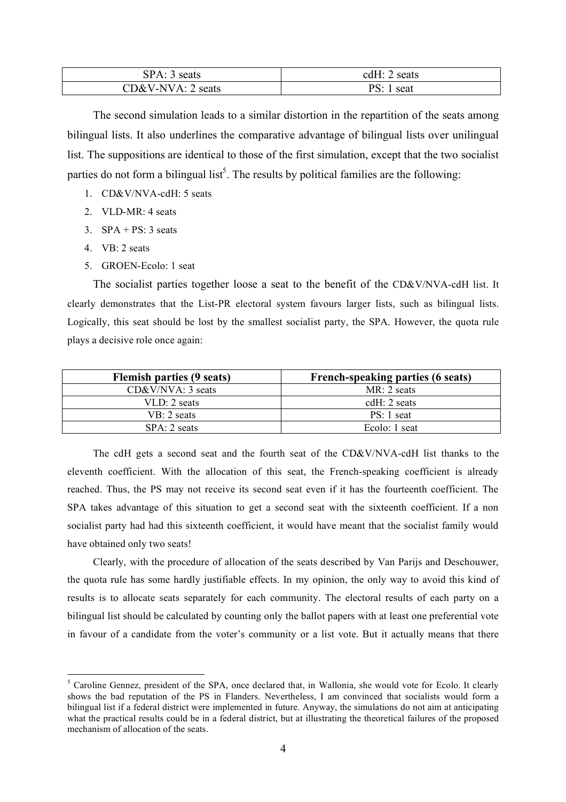| SPA: 3 seats                | $c dH$ :<br>2 seats |
|-----------------------------|---------------------|
| $CD&V-NVA: 2 \text{ seats}$ | PS:<br>1 seat       |

The second simulation leads to a similar distortion in the repartition of the seats among bilingual lists. It also underlines the comparative advantage of bilingual lists over unilingual list. The suppositions are identical to those of the first simulation, except that the two socialist parties do not form a bilingual list<sup>5</sup>. The results by political families are the following:

- 1. CD&V/NVA-cdH: 5 seats
- 2. VLD-MR $\cdot$  4 seats
- 3.  $SPA + PS: 3 \text{ seats}$
- 4. VB: 2 seats
- 5. GROEN-Ecolo: 1 seat

The socialist parties together loose a seat to the benefit of the CD&V/NVA-cdH list. It clearly demonstrates that the List-PR electoral system favours larger lists, such as bilingual lists. Logically, this seat should be lost by the smallest socialist party, the SPA. However, the quota rule plays a decisive role once again:

| <b>Flemish parties (9 seats)</b> | French-speaking parties (6 seats) |
|----------------------------------|-----------------------------------|
| $CD&V/NVA: 3 \text{ seats}$      | $MR: 2 \text{ seats}$             |
| $VLD: 2 \text{ seats}$           | cdH: $2$ seats                    |
| $VB: 2 \text{ seats}$            | $PS: 1$ seat                      |
| $SPA: 2 \text{ seats}$           | Ecolo: $1$ seat                   |

The cdH gets a second seat and the fourth seat of the CD&V/NVA-cdH list thanks to the eleventh coefficient. With the allocation of this seat, the French-speaking coefficient is already reached. Thus, the PS may not receive its second seat even if it has the fourteenth coefficient. The SPA takes advantage of this situation to get a second seat with the sixteenth coefficient. If a non socialist party had had this sixteenth coefficient, it would have meant that the socialist family would have obtained only two seats!

Clearly, with the procedure of allocation of the seats described by Van Parijs and Deschouwer, the quota rule has some hardly justifiable effects. In my opinion, the only way to avoid this kind of results is to allocate seats separately for each community. The electoral results of each party on a bilingual list should be calculated by counting only the ballot papers with at least one preferential vote in favour of a candidate from the voter's community or a list vote. But it actually means that there

 <sup>5</sup> <sup>5</sup> Caroline Gennez, president of the SPA, once declared that, in Wallonia, she would vote for Ecolo. It clearly shows the bad reputation of the PS in Flanders. Nevertheless, I am convinced that socialists would form a bilingual list if a federal district were implemented in future. Anyway, the simulations do not aim at anticipating what the practical results could be in a federal district, but at illustrating the theoretical failures of the proposed mechanism of allocation of the seats.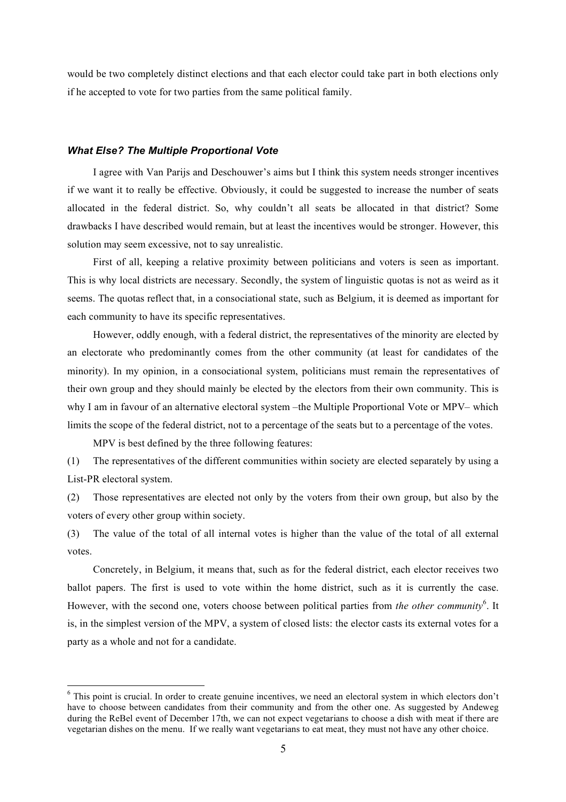would be two completely distinct elections and that each elector could take part in both elections only if he accepted to vote for two parties from the same political family.

#### *What Else? The Multiple Proportional Vote*

I agree with Van Parijs and Deschouwer's aims but I think this system needs stronger incentives if we want it to really be effective. Obviously, it could be suggested to increase the number of seats allocated in the federal district. So, why couldn't all seats be allocated in that district? Some drawbacks I have described would remain, but at least the incentives would be stronger. However, this solution may seem excessive, not to say unrealistic.

First of all, keeping a relative proximity between politicians and voters is seen as important. This is why local districts are necessary. Secondly, the system of linguistic quotas is not as weird as it seems. The quotas reflect that, in a consociational state, such as Belgium, it is deemed as important for each community to have its specific representatives.

However, oddly enough, with a federal district, the representatives of the minority are elected by an electorate who predominantly comes from the other community (at least for candidates of the minority). In my opinion, in a consociational system, politicians must remain the representatives of their own group and they should mainly be elected by the electors from their own community. This is why I am in favour of an alternative electoral system –the Multiple Proportional Vote or MPV– which limits the scope of the federal district, not to a percentage of the seats but to a percentage of the votes.

MPV is best defined by the three following features:

(1) The representatives of the different communities within society are elected separately by using a List-PR electoral system.

(2) Those representatives are elected not only by the voters from their own group, but also by the voters of every other group within society.

(3) The value of the total of all internal votes is higher than the value of the total of all external votes.

Concretely, in Belgium, it means that, such as for the federal district, each elector receives two ballot papers. The first is used to vote within the home district, such as it is currently the case. However, with the second one, voters choose between political parties from *the other community*<sup>6</sup>. It is, in the simplest version of the MPV, a system of closed lists: the elector casts its external votes for a party as a whole and not for a candidate.

 <sup>6</sup>  $6$  This point is crucial. In order to create genuine incentives, we need an electoral system in which electors don't have to choose between candidates from their community and from the other one. As suggested by Andeweg during the ReBel event of December 17th, we can not expect vegetarians to choose a dish with meat if there are vegetarian dishes on the menu. If we really want vegetarians to eat meat, they must not have any other choice.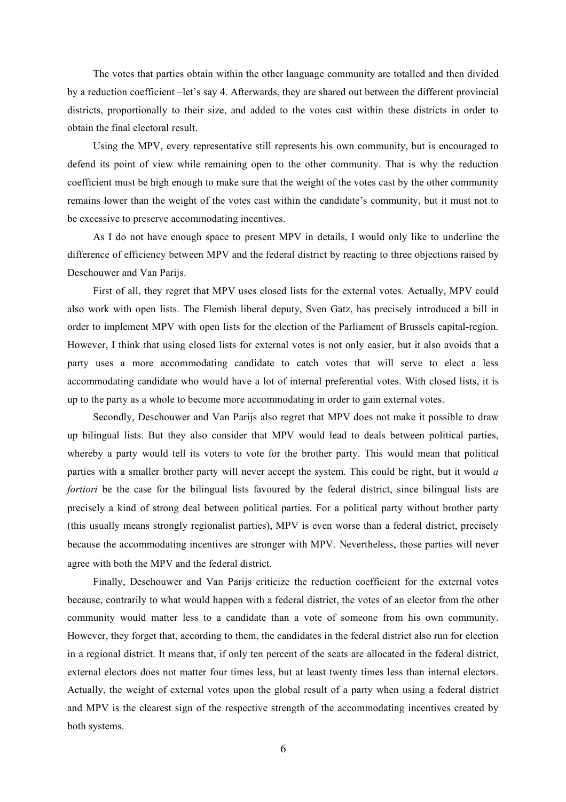The votes that parties obtain within the other language community are totalled and then divided by a reduction coefficient –let's say 4. Afterwards, they are shared out between the different provincial districts, proportionally to their size, and added to the votes cast within these districts in order to obtain the final electoral result.

Using the MPV, every representative still represents his own community, but is encouraged to defend its point of view while remaining open to the other community. That is why the reduction coefficient must be high enough to make sure that the weight of the votes cast by the other community remains lower than the weight of the votes cast within the candidate's community, but it must not to be excessive to preserve accommodating incentives.

As I do not have enough space to present MPV in details, I would only like to underline the difference of efficiency between MPV and the federal district by reacting to three objections raised by Deschouwer and Van Parijs.

First of all, they regret that MPV uses closed lists for the external votes. Actually, MPV could also work with open lists. The Flemish liberal deputy, Sven Gatz, has precisely introduced a bill in order to implement MPV with open lists for the election of the Parliament of Brussels capital-region. However, I think that using closed lists for external votes is not only easier, but it also avoids that a party uses a more accommodating candidate to catch votes that will serve to elect a less accommodating candidate who would have a lot of internal preferential votes. With closed lists, it is up to the party as a whole to become more accommodating in order to gain external votes.

Secondly, Deschouwer and Van Parijs also regret that MPV does not make it possible to draw up bilingual lists. But they also consider that MPV would lead to deals between political parties, whereby a party would tell its voters to vote for the brother party. This would mean that political parties with a smaller brother party will never accept the system. This could be right, but it would *a fortiori* be the case for the bilingual lists favoured by the federal district, since bilingual lists are precisely a kind of strong deal between political parties. For a political party without brother party (this usually means strongly regionalist parties), MPV is even worse than a federal district, precisely because the accommodating incentives are stronger with MPV. Nevertheless, those parties will never agree with both the MPV and the federal district.

Finally, Deschouwer and Van Parijs criticize the reduction coefficient for the external votes because, contrarily to what would happen with a federal district, the votes of an elector from the other community would matter less to a candidate than a vote of someone from his own community. However, they forget that, according to them, the candidates in the federal district also run for election in a regional district. It means that, if only ten percent of the seats are allocated in the federal district, external electors does not matter four times less, but at least twenty times less than internal electors. Actually, the weight of external votes upon the global result of a party when using a federal district and MPV is the clearest sign of the respective strength of the accommodating incentives created by both systems.